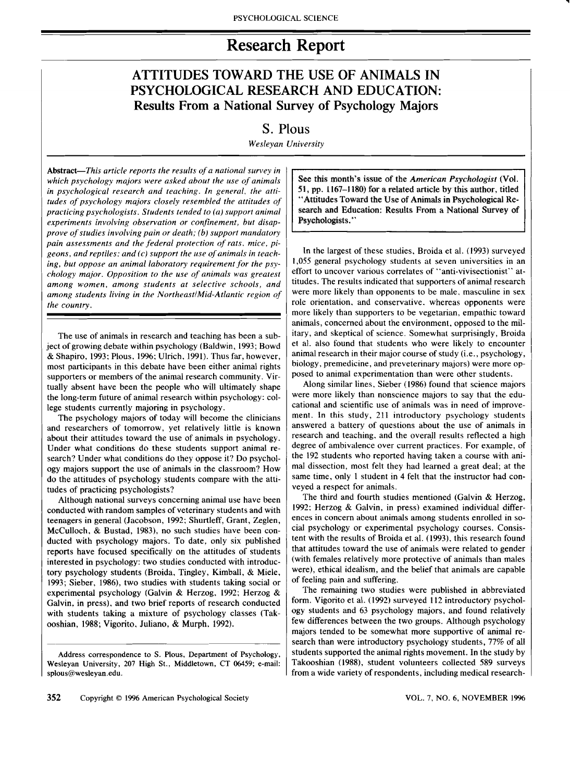# **Research Report**

# **ATTITUDES TOWARD THE USE OF ANIMALS IN PSYCHOLOGICAL RESEARCH AND EDUCATION: Results From a National Survey of Psychology Majors**

# **S. PIous**

*Wesleyan University* 

Abstract-This article reports the results of a national survey in *which psychology majors were asked about the use of animals in psychological research and teaching. In general, the attitudes of psychology majors closely resembled the attitudes of practicing psychologists. Students tended to (a) support animal experiments involving observation or confinement, but disapprove of studies involving pain or death; (b) support mandatory pain assessments and the federal protection of rats, mice, pigeons, and reptiles: and (c) support the use ofanimals in teaching, but oppose an animal laboratory requirement for the psychology major, Opposition to the use of animals was greatest among women, among students at selective schools, and among students living in the Northeast/Mid-Atlantic region of the country,* 

The use of animals in research and teaching has been a subject of growing debate within psychology (Baldwin, 1993; Bowd & Shapiro, 1993: PIous, 1996; Ulrich, 1991), Thus far, however, most participants in this debate have been either animal rights supporters or members of the animal research community. Virtually absent have been the people who will ultimately shape the long-term future of animal research within psychology: college students currently majoring in psychology.

The psychology majors of today will become the clinicians and researchers of tomorrow, yet relatively little is known about their attitudes toward the use of animals in psychology. Under what conditions do these students support animal research? Under what conditions do they oppose it? Do psychology majors support the use of animals in the classroom? How do the attitudes of psychology students compare with the attitudes of practicing psychologists?

Although national surveys concerning animal use have been conducted with random samples of veterinary students and with teenagers in general (Jacobson, 1992; Shurtleff, Grant, Zeglen, McCulloch, & Bustad, 1983), no such studies have been conducted with psychology majors. To date, only six published reports have focused specifically on the attitudes of students interested in psychology: two studies conducted with introductory psychology students (Broida, Tingley, Kimball, & Miele, 1993; Sieber, 1986), two studies with students taking social or experimental psychology (Galvin & Herzog, 1992; Herzog & Galvin, in press), and two brief reports of research conducted with students taking a mixture of psychology classes (Takooshian, 1988; Vigorito, Juliano, & Murph, 1992).

See this month's issue of the *American Psycho1ogist* (Vol. 51, pp. 1167-1180) for a related article by this author, titled "Attitudes Toward the Use of Animals in Psychological Research and Education: Results From a National Survey of Psychologists."

..

In the largest of these studies, Broida et al. (1993) surveyed 1,055 general psychology students at seven universities in an effort to uncover various correlates of "anti-vivisectionist"' attitudes. The results indicated that supporters of animal research were more likely than opponents to be male. masculine in sex role orientation, and conservative. whereas opponents were more likely than supporters to be vegetarian, empathic toward animals, concerned about the environment, opposed to the military, and skeptical of science. Somewhat surprisingly, Broida et al. also found that students who were likely to encounter animal research in their major course of study (i.e., psychology, biology, premedicine, and preveterinary majors) were more opposed to animal experimentation than were other students.

Along similar lines, Sieber (1986) found that science majors were more likely than nonscience majors to say that the educational and scientific use of animals was in need of improvement. In this study, 211 introductory psychology students answered a battery of questions about the use of animals in research and teaching, and the overall results reflected a high degree of ambivalence over current practices. For example, of the 192 students who reported having taken a course with animal dissection, most felt they had learned a great deal; at the same time, only 1 student in 4 felt that the instructor had conveyed a respect for animals.

The third and fourth studies mentioned (Galvin & Herzog, 1992: Herzog & Galvin, in press) examined individual differences in concern about animals among students enrolled in social psychology or experimental psychology courses. Consistent with the results of Broida et al. (1993), this research found that attitudes toward the use of animals were related to gender (with females relatively more protective of animals than males were), ethical idealism, and the belief that animals are capable of feeling pain and suffering.

The remaining two studies were published in abbreviated form. Vigorito et al. (1992) surveyed 112 introductory psychology students and 63 psychology majors, and found relatively few differences between the two groups. Although psychology majors tended to be somewhat more supportive of animal research than were introductory psychology students, 77% of all students supported the animal rights movement. In the study by Takooshian (1988), student volunteers collected 589 surveys from a wide variety of respondents, including medical research-

Address correspondence to S. Pious, Department of Psychology, Wesleyan University, 207 High St., Middletown, CT 06459; e-mail: splous@wesleyan.edu.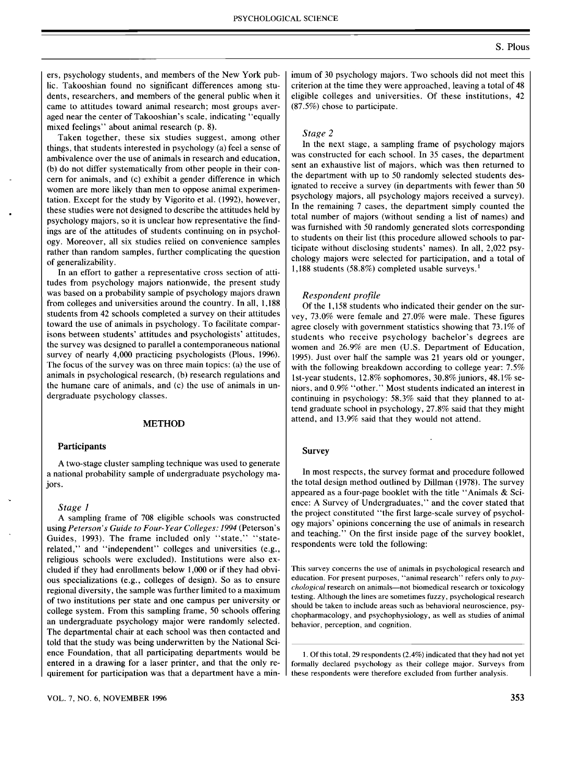#### PSYCHOLOGICAL SCIENCE

ers, psychology students, and members of the New York public. Takooshian found no significant differences among students, researchers, and members of the general public when it came to attitudes toward animal research; most groups averaged near the center of Takooshian's scale, indicating "equally mixed feelings" about animal research (p. 8).

Taken together, these six studies suggest, among other things, that students interested in psychology (a) feel a sense of ambivalence over the use of animals in research and education, (b) do not differ systematically from other people in their concern for animals, and (c) exhibit a gender difference in which women are more likely than men to oppose animal experimentation. Except for the study by Vigorito et al. (1992), however, these studies were not designed to describe the attitudes held by psychology majors, so it is unclear how representative the findings are of the attitudes of students continuing on in psychology. Moreover, all six studies relied on convenience samples rather than random samples, further complicating the question of generalizability.

In an effort to gather a representative cross section of attitudes from psychology majors nationwide, the present study was based on a probability sample of psychology majors drawn from colleges and universities around the country. In all, 1,188 students from 42 schools completed a survey on their attitudes toward the use of animals in psychology. To facilitate comparisons between students' attitudes and psychologists' attitudes, the survey was designed to parallel a contemporaneous national survey of nearly 4,000 practicing psychologists (Pious, 1996). The focus of the survey was on three main topics: (a) the use of animals in psychological research, (b) research regulations and the humane care of animals, and (c) the use of animals in undergraduate psychology classes.

#### METHOD

#### Participants

A two-stage cluster sampling technique was used to generate a national probability sample of undergraduate psychology majors.

### *Stage* J

A sampling frame of 708 eligible schools was constructed using *Peterson's Guide to Four-Year Colleges:* 1994 (Peterson's Guides, 1993). The frame included only "state," "staterelated," and "independent" colleges and universities (e.g., religious schools were excluded). Institutions were also excluded if they had enrollments below 1,000 or if they had obvious specializations (e.g., colleges of design). So as to ensure regional diversity, the sample was further limited to a maximum of two institutions per state and one campus per university or college system. From this sampling frame, 50 schools offering an undergraduate psychology major were randomly selected. The departmental chair at each school was then contacted and told that the study was being underwritten by the National Science Foundation, that all participating departments would be entered in a drawing for a laser printer, and that the only requirement for participation was that a department have a min-

VOL. 7, NO.6, NOVEMBER 1996

imum of 30 psychology majors. Two schools did not meet this criterion at the time they were approached, leaving a total of 48 eligible colleges and universities. Of these institutions, 42 (87.5%) chose to participate.

#### *Stage 2*

In the next stage, a sampling frame of psychology majors was constructed for each school. In 35 cases, the department sent an exhaustive list of majors, which was then returned to the department with up to 50 randomly selected students designated to receive a survey (in departments with fewer than 50 psychology majors, all psychology majors received a survey). In the remaining 7 cases, the department simply counted the total number of majors (without sending a list of names) and was furnished with 50 randomly generated slots corresponding to students on their list (this procedure allowed schools to participate without disclosing students' names). In all, 2,022 psychology majors were selected for participation, and a total of 1,188 students (58.8%) completed usable surveys. <sup>1</sup>

#### *Respondent profile*

Of the 1,158 students who indicated their gender on the survey, 73.0% were female and 27.0% were male. These figures agree closely with government statistics showing that 73.1% of students who receive psychology bachelor's degrees are women and 26.9% are men (U.S. Department of Education, 1995). Just over half the sample was 21 years old or younger, with the following breakdown according to college year: 7.5% 1st-year students,  $12.8\%$  sophomores,  $30.8\%$  juniors,  $48.1\%$  seniors, and 0.9% "other." Most students indicated an interest in continuing in psychology: 58.3% said that they planned to attend graduate school in psychology, 27.8% said that they might attend, and 13.9% said that they would not attend.

#### Survey

In most respects, the survey format and procedure followed the total design method outlined by Dillman (1978). The survey appeared as a four-page booklet with the title "Animals & Science: A Survey of Undergraduates," and the cover stated that the project constituted "the first large-scale survey of psychology majors' opinions concerning the use of animals in research and teaching." On the first inside page of the survey booklet, respondents were told the following:

This survey concerns the use of animals in psychological research and education. For present purposes, "animal research" refers only to psy*chological* research on animals-not biomedical research or toxicology testing. Although the lines are sometimes fuzzy, psychological research should be taken to include areas such as behavioral neuroscience, psychopharmacology, and psychophysiology, as well as studies of animal behavior, perception, and cognition.

1. Of this total, 29 respondents (2.4%) indicated that they had not yet formally declared psychology as their college major. Surveys from these respondents were therefore excluded from further analysis.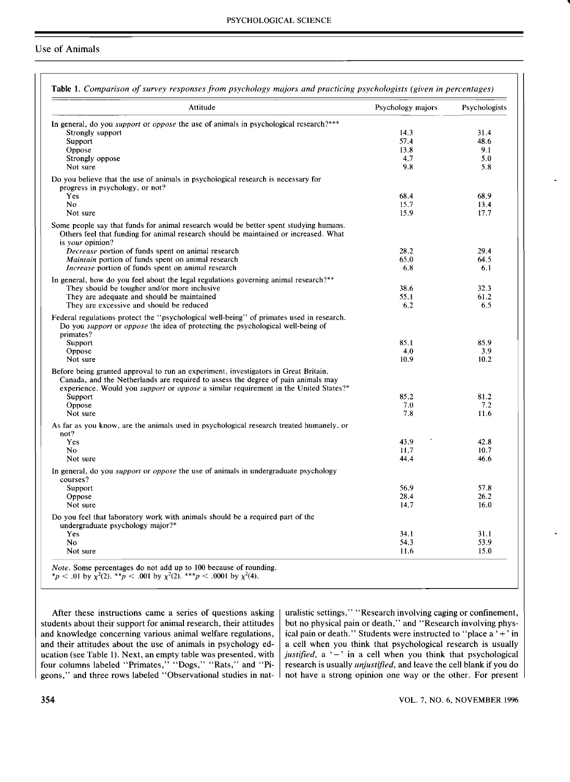# Use of Animals

| Attitude                                                                                                                             | Psychology majors | Psychologists |
|--------------------------------------------------------------------------------------------------------------------------------------|-------------------|---------------|
| In general, do you <i>support</i> or <i>oppose</i> the use of animals in psychological research?***                                  |                   |               |
| Strongly support                                                                                                                     | 14.3              | 31.4          |
| Support                                                                                                                              | 57.4              | 48.6          |
| Oppose                                                                                                                               | 13.8              | 9.1           |
| Strongly oppose                                                                                                                      | 4.7               | 5.0           |
| Not sure                                                                                                                             | 9.8               | 5.8           |
| Do you believe that the use of animals in psychological research is necessary for                                                    |                   |               |
| progress in psychology, or not?                                                                                                      |                   |               |
| Yes                                                                                                                                  | 68.4              | 68.9          |
| N <sub>0</sub>                                                                                                                       | 15.7              | 13.4          |
| Not sure                                                                                                                             | 15.9              | 17.7          |
| Some people say that funds for animal research would be better spent studying humans.                                                |                   |               |
| Others feel that funding for animal research should be maintained or increased. What                                                 |                   |               |
| is your opinion?<br>Decrease portion of funds spent on animal research                                                               | 28.2              | 29.4          |
| Maintain portion of funds spent on animal research                                                                                   | 65.0              | 64.5          |
| <i>Increase</i> portion of funds spent on animal research                                                                            | 6.8               | 6.1           |
|                                                                                                                                      |                   |               |
| In general, how do you feel about the legal regulations governing animal research?**<br>They should be tougher and/or more inclusive | 38.6              | 32.3          |
|                                                                                                                                      |                   |               |
| They are adequate and should be maintained<br>They are excessive and should be reduced                                               | 55.1<br>6.2       | 61.2<br>6.5   |
| Federal regulations protect the "psychological well-being" of primates used in research.                                             |                   |               |
| Do you support or oppose the idea of protecting the psychological well-being of                                                      |                   |               |
| primates?                                                                                                                            |                   |               |
| Support                                                                                                                              | 85.1              | 85.9          |
| Oppose                                                                                                                               | 4.0               | 3.9           |
| Not sure                                                                                                                             | 10.9              | 10.2          |
| Before being granted approval to run an experiment, investigators in Great Britain,                                                  |                   |               |
| Canada, and the Netherlands are required to assess the degree of pain animals may                                                    |                   |               |
| experience. Would you <i>support</i> or <i>oppose</i> a similar requirement in the United States?*                                   |                   |               |
| Support                                                                                                                              | 85.2              | 81.2          |
| Oppose                                                                                                                               | 7.0               | 7.2           |
| Not sure                                                                                                                             | 7.8               | 11.6          |
| As far as you know, are the animals used in psychological research treated humanely, or                                              |                   |               |
| not?                                                                                                                                 |                   |               |
| Yes                                                                                                                                  | 43.9              | 42.8          |
| No.                                                                                                                                  | 11.7              | 10.7          |
| Not sure                                                                                                                             | 44.4              | 46.6          |
| In general, do you <i>support</i> or <i>oppose</i> the use of animals in undergraduate psychology<br>courses?                        |                   |               |
| Support                                                                                                                              | 56.9              | 57.8          |
| Oppose                                                                                                                               | 28.4              | 26.2          |
| Not sure                                                                                                                             | 14.7              | 16.0          |
| Do you feel that laboratory work with animals should be a required part of the<br>undergraduate psychology major?*                   |                   |               |
| <b>Yes</b>                                                                                                                           | 34.1              | 31.1          |
|                                                                                                                                      |                   | 53.9          |
| N <sub>0</sub>                                                                                                                       | 54.3              |               |
| Not sure                                                                                                                             | 11.6              | 15.0          |
| <i>Note.</i> Some percentages do not add up to 100 because of rounding.                                                              |                   |               |

After these instructions came a series of questions asking students about their support for animal research, their attitudes and knowledge concerning various animal welfare regulations, and their attitudes about the use of animals in psychology education (see Table 1), Next, an empty table was presented, with four columns labeled "Primates," "Dogs," "Rats," and "Pigeons," and three rows labeled "Observational studies in nat-

uralistic settings," "Research involving caging or confinement, but no physical pain or death," and "Research involving physical pain or death." Students were instructed to "place a ' + ' in a cell when you think that psychological research is usually justified, a '-' in a cell when you think that psychological research is usually *unjustified,* and leave the cell blank if you do not have a strong opinion one way or the other. For present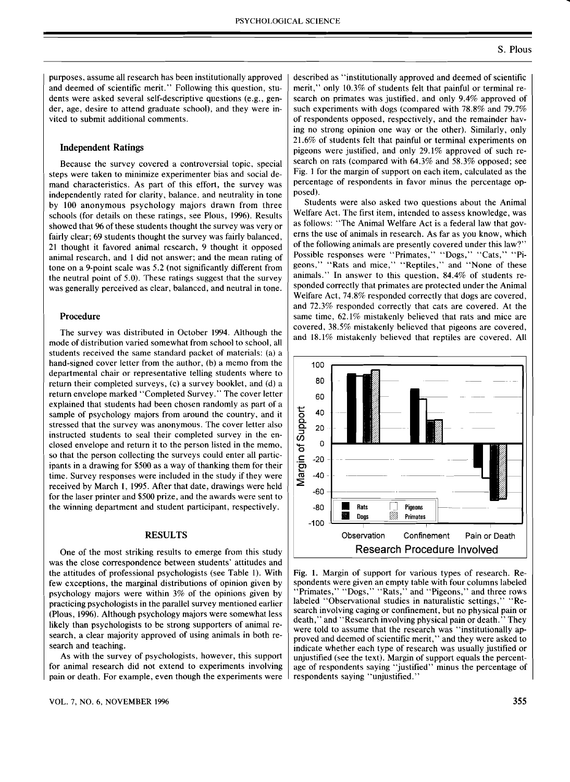purposes, assume all research has been institutionally approved and deemed of scientific merit." Following this question, students were asked several self-descriptive questions (e.g., gender, age, desire to attend graduate school), and they were invited to submit additional comments.

## Independent Ratings

Because the survey covered a controversial topic, special steps were taken to minimize experimenter bias and social demand characteristics. As part of this effort, the survey was independently rated for clarity, balance. and neutrality in tone by 100 anonymous psychology majors drawn from three schools (for details on these ratings, see PIous, 1996). Results showed that 96 of these students thought the survey was very or fairly clear; 69 students thought the survey was fairly balanced, 21 thought it favored animal research, 9 thought it opposed animal research, and 1 did not answer; and the mean rating of tone on a 9-point scale was 5.2 (not significantly different from the neutral point of 5.0). These ratings suggest that the survey was generally perceived as clear, balanced, and neutral in tone.

#### Procedure

The survey was distributed in October 1994. Although the mode of distribution varied somewhat from school to school, all students received the same standard packet of materials: (a) a hand-signed cover letter from the author, (b) a memo from the departmental chair or representative telling students where to return their completed surveys, (c) a survey booklet, and (d) a return envelope marked' 'Completed Survey." The cover letter explained that students had been chosen randomly as part of a sample of psychology majors from around the country, and it stressed that the survey was anonymous. The cover letter also instructed students to seal their completed survey in the enclosed envelope and return it to the person listed in the memo, so that the person collecting the surveys could enter all participants in a drawing for \$500 as a way of thanking them for their time. Survey responses were included in the study if they were received by March 1, 1995. After that date, drawings were held for the laser printer and \$500 prize, and the awards were sent to the winning department and student participant, respectively.

### RESULTS

One of the most striking results to emerge from this study was the close correspondence between students' attitudes and the attitudes of professional psychologists (see Table 1). With few exceptions, the marginal distributions of opinion given by psychology majors were within 3% of the opinions given by practicing psychologists in the parallel survey mentioned earlier (PIous, 1996). Although psychology majors were somewhat less likely than psychologists to be strong supporters of animal research, a clear majority approved of using animals in both research and teaching.

As with the survey of psychologists, however, this support for animal research did not extend to experiments involving pain or death. For example, even though the experiments were described as "institutionally approved and deemed of scientific merit," only 10.3% of students felt that painful or terminal research on primates was justified, and only 9.4% approved of such experiments with dogs (compared with 78.8% and 79.7% of respondents opposed, respectively, and the remainder having no strong opinion one way or the other). Similarly, only 21.6% of students felt that painful or terminal experiments on pigeons were justified, and only 29.1% approved of such research on rats (compared with 64.3% and 58.3% opposed; see Fig. 1 for the margin of support on each item, calculated as the percentage of respondents in favor minus the percentage opposed).

Students were also asked two questions about the Animal Welfare Act. The first item, intended to assess knowledge, was as follows: "The Animal Welfare Act is a federal law that governs the use of animals in research. As far as you know, which of the following animals are presently covered under this law?" Possible responses were "Primates," "Dogs," "Cats," "Pigeons," "Rats and mice," "Reptiles," and "None of these animals." In answer to this question, 84.4% of students responded correctly that primates are protected under the Animal Welfare Act, 74.8% responded correctly that dogs are covered, and 72.3% responded correctly that cats are covered. At the same time, 62.1% mistakenly believed that rats and mice are covered, 38.5% mistakenly believed that pigeons are covered, and 18.1% mistakenly believed that reptiles are covered. All



Fig. 1. Margin of support for various types of research. Respondents were given an empty table with four columns labeled 'Primates," "Dogs," "Rats," and "Pigeons," and three rows labeled "Observational studies in naturalistic settings," "Research involving caging or confinement, but no physical pain or death," and "Research involving physical pain or death." They were told to assume that the research was "institutionally approved and deemed of scientific merit," and they were asked to indicate whether each type of research was usually justified or unjustified (see the text). Margin of support equals the percentage of respondents saying "justified" minus the percentage of respondents saying "unjustified."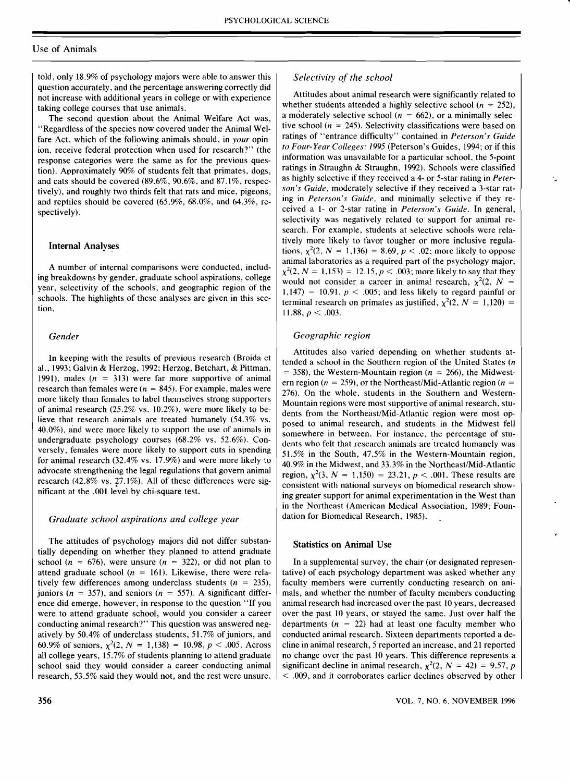## Use of Animals

told, only 18.9% of psychology majors were able to answer this question accurately, and the percentage answering correctly did not increase with additional years in college or with experience taking college courses that use animals.

The second question about the Animal Welfare Act was, "Regardless of the species now covered under the Animal Welfare Act, which of the following animals should, in *your* opinion, receive federal protection when used for research?" (the response categories were the same as for the previous question). Approximately 90% of students felt that primates, dogs, and cats should be covered (89.6%, 90.6%, and 87.1%, respectively), and roughly two thirds felt that rats and mice, pigeons, and reptiles should be covered (65.9%, 68.0%, and 64.3%, respectively).

### Internal Analyses

A number of internal comparisons were conducted, including breakdowns by gender, graduate school aspirations, college year, selectivity of the schools; and geographic region of the schools. The highlights of these analyses are given in this section.

#### *Gender*

In keeping with the results of previous research (Broida et aI., 1993; Galvin & Herzog, 1992; Herzog, Betchart, & Pittman, 1991), males  $(n = 313)$  were far more supportive of animal research than females were ( $n = 845$ ). For example, males were more likely than females to label themselves strong supporters of animal research (25.2% vs. 10.2%), were more likely to believe that research animals are treated humanely (54.3% vs. 40.0%), and were more likely to support the use of animals in undergraduate psychology courses (68.2% vs. 52.6%). Conversely, females were more likely to support cuts in spending for animal research (32.4% vs. 17.9%) and were more likely to advocate strengthening the legal regulations that govern animal research (42.8% vs. 27.1%). All of these differences were significant at the .001 level by chi-square test.

#### *Graduate school aspirations and college year*

The attitudes of psychology majors did not differ substantially depending on whether they planned to attend graduate school ( $n = 676$ ), were unsure ( $n = 322$ ), or did not plan to attend graduate school ( $n = 161$ ). Likewise, there were relatively few differences among underclass students ( $n = 235$ ), juniors ( $n = 357$ ), and seniors ( $n = 557$ ). A significant difference did emerge, however, in response to the question "If you were to attend graduate school, would you consider a career conducting animal research?" This question was answered negatively by 50.4% of underclass students, 51.7% of juniors, and 60.9% of seniors,  $\chi^2(2, N = 1,138) = 10.98, p < .005$ . Across all college years, 15.7% of students planning to attend graduate school said they would consider a career conducting animal research, 53.5% said they would not, and the rest were unsure.

# *Selectivity of the school*

Attitudes about animal research were significantly related to whether students attended a highly selective school ( $n = 252$ ). a moderately selective school ( $n = 662$ ), or a minimally selective school ( $n = 245$ ). Selectivity classifications were based on ratings of "entrance difficulty" contained in *Peterson's Guide to Four-Year Colleges:* /995 (Peterson's Guides, 1994; or if this information was unavailable for a particular school, the 5-point ratings in Straughn & Straughn, 1992). Schools were classified as highly selective if they received a 4- or 5-star rating in *Peterson's Guide,* moderately selective if they received a 3-star rating in *Peterson's Guide,* and minimally selective if they received a 1- or 2-star rating in *Peterson's Guide.* In general, selectivity was negatively related to support for animal research. For example, students at selective schools were relatively more likely to favor tougher or more inclusive regulations,  $\chi^2(2, N = 1,136) = 8.69, p < .02$ ; more likely to oppose animal laboratories as a required part of the psychology major,  $\chi^2(2, N = 1,153) = 12.15, p < .003$ ; more likely to say that they would not consider a career in animal research,  $\chi^2(2, N =$ 1,147) = 10.91,  $p < .005$ ; and less likely to regard painful or terminal research on primates as justified,  $\chi^2(2, N = 1,120)$  = 11.88,  $p < .003$ .

### *Geographic region*

Attitudes also varied depending on whether students attended a school in the Southern region of the United States (n  $=$  358), the Western-Mountain region ( $n = 266$ ), the Midwestern region ( $n = 259$ ), or the Northeast/Mid-Atlantic region ( $n =$ 276). On the whole, students in the Southern and Western-Mountain regions were most supportive of animal research, students from the Northeast/Mid-Atlantic region were most opposed to animal research, and students in the Midwest fell somewhere in between. For instance, the percentage of students who felt that research animals are'treated humanely was 51.5% in the South, 47.5% in the Western-Mountain region, 40.9% in the Midwest, and 33.3% in the Northeast/Mid-Atlantic region,  $\chi^2(3, N = 1,150) = 23.21, p < .001$ . These results are consistent with national surveys on biomedical research showing greater support for animal experimentation in the West than in the Northeast (American Medical Association, 1989; Foundation for Biomedical Research, 1985).

#### Statistics on Animal Use

In a supplemental survey, the chair (or designated representative) of each psychology department was asked whether any faculty members were currently conducting research on animals, and whether the number of faculty members conducting animal research had increased over the past 10 years, decreased over the past 10 years, or stayed the same. Just over half the departments ( $n = 22$ ) had at least one faculty member who conducted animal research. Sixteen departments reported a decline in animal research, 5 reported an increase, and 21 reported no change over the past 10 years. This difference represents a significant decline in animal research,  $\chi^2(2, N = 42) = 9.57, p$ < .009, and it corroborates earlier declines observed by other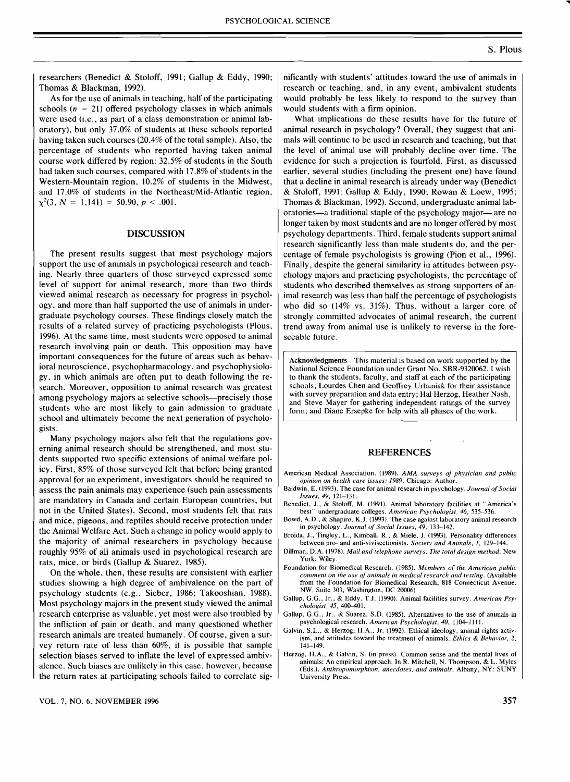researchers (Benedict & Stoloff, 1991; Gallup & Eddy, 1990; Thomas & Blackman, 1992).

 $\chi^2(3, N = 1,141) = 50.90, p < .001.$ As for the use of animals in teaching, half of the participating schools ( $n = 21$ ) offered psychology classes in which animals were used (i.e., as part of a class demonstration or animal laboratory), but only 37.0% of students at these schools reported having taken such courses (20.4% of the total sample). Also, the percentage of students who reported having taken animal course work differed by region: 32.5% of students in the South had taken such courses, compared with 17.8% of students in the Western-Mountain region, 10.2% of students in the Midwest, and 17.0% of students in the Northeast/Mid-Atlantic region,

## DISCUSSION

The present results suggest that most psychology majors support the use of animals in psychological research and teaching. Nearly three quarters of those surveyed expressed some level of support for animal research, more than two thirds viewed animal research as necessary for progress in psychology, and more than half supported the use of animals in undergraduate psychology courses. These findings closely match the results of a related survey of practicing psychologists (Pious, 1996). At the same time, most students were opposed to animal research involving pain or death. This opposition may have important consequences for the future of areas such as behavioral neuroscience, psychopharmacology, and psychophysiology, in which animals are often put to death following the research. Moreover, opposition to animal research was greatest among psychology majors at selective schools—precisely those students who are most likely to gain admission to graduate school and ultimately become the next generation of psychologists.

Many psychology majors also felt that the regulations governing animal research should be strengthened, and most students supported two specific extensions of animal welfare policy. First, 85% of those surveyed felt that before being granted approval for an experiment, investigators should be required to assess the pain animals may experience (such pain assessments are mandatory in Canada and certain European countries, but not in the United States). Second, most students felt that rats and mice, pigeons, and reptiles should receive protection under the Animal Welfare Act. Such a change in policy would apply to the majority of animal researchers in psychology because roughly 95% of all animals used in psychological research are rats, mice, or birds (Gallup & Suarez, 1985).

On the whole, then, these results are consistent with earlier studies showing a high degree of ambivalence on the part of psychology students (e.g., Sieber, 1986; Takooshian, 1988). Most psychology majors in the present study viewed the animal research enterprise as valuable, yet most were also troubled by the infliction of pain or death, and many questioned whether research animals are treated humanely. Of course, given a survey return rate of less than 60%, it is possible that sample selection biases served to inflate the level of expressed ambivalence. Such biases are unlikely in this case, however, because the return rates at participating schools failed to correlate sig-

What implications do these results have for the future of animal research in psychology? Overall, they suggest that animals will continue to be used in research and teaching, but that the level of animal use will probably decline over time. The evidence for such a projection is fourfold. First, as discussed earlier, several studies (including the present one) have found that a decline in animal research is already under way (Benedict & Stoloff, 1991; Gallup & Eddy, 1990; Rowan & Loew, 1995; Thomas & Blackman, 1992). Second, undergraduate animal laboratories—a traditional staple of the psychology major—are no longer taken by most students and are no longer offered by most psychology departments. Third, female students support animal research significantly less than male students do, and the percentage of female psychologists is growing (Pion et aI., 1996). Finally, despite the general similarity in attitudes between psychology majors and practicing psychologists, the percentage of students who described themselves as strong supporters of animal research was less than half the percentage of psychologists who did so (14% vs. 31%). Thus, without a larger core of strongly committed advocates of animal research, the current trend away from animal use is unlikely to reverse in the foreseeable future.

Acknowledgments-This material is based on work supported by the National Science Foundation under Grant No. SBR-9320062. I wish to thank the students, faculty, and staff at each of the participating schools; Lourdes Chen and Geoffrey Urbaniak for their assistance with survey preparation and data entry; Hal Herzog, Heather Nash, and Steve Mayer for gathering independent ratings of the survey form; and Diane Ersepke for help with all phases of the work.

### REFERENCES

American Medical Association. (989). *AMA surveys of physician and public opinion on health care issues: 1989.* Chicago: Author.

- Baldwin, E. (1993). The case for animal research in psychology. *Journal of Social Issues,* 49, 121-131.
- Benedict, J., & Stoloff, M. (1991). Animal laboratory facilities at "America's best" undergraduate colleges. *American Psychologist,* 46, 535-536.
- Bowd, A.D., & Shapiro, K.J. (1993). The case against laboratory animal research in psychology. *Journal of Social Issues,* 49, 133-142.
- Broida, J., Tingley. L., Kimball, R., & Miele. J. (1993). Personality differences between pro- and anti-vivisectionists. *Society and Animals, 1,* 129-144.
- Dillman, D.A. (1978). *Mail and telephone surveys: The total design method.* New York: Wiley.
- Foundation for Biomedical Research. (1985). *Members of the American public comment on the use of animals in medical research and testing.* (Available from the Foundation for Biomedical Research, 818 Connecticut Avenue. NW, Suite 303, Washington, DC 20006)
- Gallup, G.G., Jr., & Eddy. T.J. (990). Animal facilities survey. *American Psychologist,* 45, 400-401.
- Gallup, G.G., Jr., & Suarez, S.D. (1985). Alternatives to the use of animals in psychological research. *American Psychologist, 40,* 1104-1111.
- Galvin, S.L., & Herzog, H.A., Jr. (992). Ethical ideology, animal rights activism, and attitudes toward the treatment of animals. *Ethics* & *Behavior, 2,*  141-149.
- Herzog, H.A., & Galvin, S. (in press). Common sense and the mental lives of animals: An empirical approach. In R. Mitchell, N. Thompson, & L. Myles rEds.), *Anthropomorphism, anecdotes, and animals.* Albany, NY: SUNY University Press.